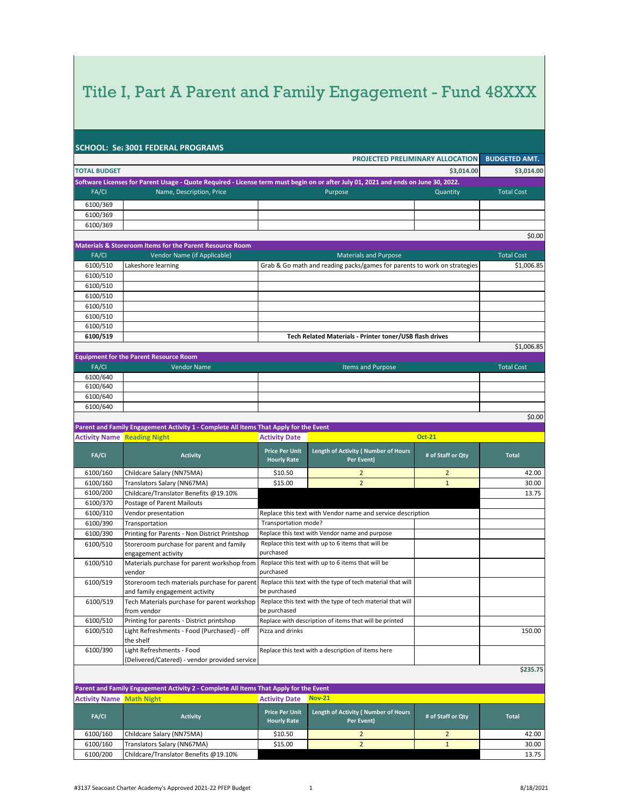|                                    | <b>SCHOOL: Set 3001 FEDERAL PROGRAMS</b>                                                                                           |                                             |                                                                          |                                  |                      |
|------------------------------------|------------------------------------------------------------------------------------------------------------------------------------|---------------------------------------------|--------------------------------------------------------------------------|----------------------------------|----------------------|
|                                    |                                                                                                                                    |                                             |                                                                          | PROJECTED PRELIMINARY ALLOCATION | <b>BUDGETED AMT.</b> |
| <b>TOTAL BUDGET</b>                |                                                                                                                                    |                                             |                                                                          | \$3,014.00                       | \$3,014.00           |
|                                    | Software Licenses for Parent Usage - Quote Required - License term must begin on or after July 01, 2021 and ends on June 30, 2022. |                                             |                                                                          |                                  |                      |
| FA/CI                              | Name, Description, Price                                                                                                           |                                             | Purpose                                                                  | Quantity                         | <b>Total Cost</b>    |
| 6100/369                           |                                                                                                                                    |                                             |                                                                          |                                  |                      |
| 6100/369                           |                                                                                                                                    |                                             |                                                                          |                                  |                      |
| 6100/369                           |                                                                                                                                    |                                             |                                                                          |                                  |                      |
|                                    |                                                                                                                                    |                                             |                                                                          |                                  | \$0.00               |
|                                    | <b>Materials &amp; Storeroom Items for the Parent Resource Room</b>                                                                |                                             |                                                                          |                                  |                      |
| FA/CI                              | Vendor Name (if Applicable)                                                                                                        |                                             | <b>Materials and Purpose</b>                                             |                                  | <b>Total Cost</b>    |
| 6100/510                           | Lakeshore learning                                                                                                                 |                                             | Grab & Go math and reading packs/games for parents to work on strategies |                                  | \$1,006.85           |
| 6100/510                           |                                                                                                                                    |                                             |                                                                          |                                  |                      |
| 6100/510                           |                                                                                                                                    |                                             |                                                                          |                                  |                      |
| 6100/510                           |                                                                                                                                    |                                             |                                                                          |                                  |                      |
| 6100/510                           |                                                                                                                                    |                                             |                                                                          |                                  |                      |
| 6100/510                           |                                                                                                                                    |                                             |                                                                          |                                  |                      |
| 6100/510                           |                                                                                                                                    |                                             |                                                                          |                                  |                      |
| 6100/519                           |                                                                                                                                    |                                             | Tech Related Materials - Printer toner/USB flash drives                  |                                  |                      |
|                                    |                                                                                                                                    |                                             |                                                                          |                                  | \$1,006.85           |
| FA/CI                              | <b>Equipment for the Parent Resource Room</b><br><b>Vendor Name</b>                                                                |                                             | <b>Items and Purpose</b>                                                 |                                  | <b>Total Cost</b>    |
| 6100/640                           |                                                                                                                                    |                                             |                                                                          |                                  |                      |
| 6100/640                           |                                                                                                                                    |                                             |                                                                          |                                  |                      |
| 6100/640                           |                                                                                                                                    |                                             |                                                                          |                                  |                      |
| 6100/640                           |                                                                                                                                    |                                             |                                                                          |                                  |                      |
|                                    |                                                                                                                                    |                                             |                                                                          |                                  | \$0.00               |
|                                    | Parent and Family Engagement Activity 1 - Complete All Items That Apply for the Event                                              |                                             |                                                                          |                                  |                      |
| <b>Activity Name Reading Night</b> |                                                                                                                                    | <b>Activity Date</b>                        |                                                                          | <b>Oct-21</b>                    |                      |
| FA/CI                              | <b>Activity</b>                                                                                                                    | <b>Price Per Unit</b><br><b>Hourly Rate</b> | Length of Activity (Number of Hours<br>Per Event)                        | # of Staff or Qty                | <b>Total</b>         |
| 6100/160                           | Childcare Salary (NN75MA)                                                                                                          | \$10.50                                     | $\overline{2}$                                                           | $\overline{2}$                   | 42.00                |
| 6100/160                           | Translators Salary (NN67MA)                                                                                                        | \$15.00                                     | $\overline{2}$                                                           | $\mathbf{1}$                     | 30.00                |
| 6100/200                           | Childcare/Translator Benefits @19.10%                                                                                              |                                             |                                                                          |                                  | 13.75                |
| 6100/370                           | Postage of Parent Mailouts                                                                                                         |                                             |                                                                          |                                  |                      |
| 6100/310                           | Vendor presentation                                                                                                                |                                             | Replace this text with Vendor name and service description               |                                  |                      |
| 6100/390                           | Transportation                                                                                                                     | Transportation mode?                        |                                                                          |                                  |                      |
| 6100/390                           | Printing for Parents - Non District Printshop                                                                                      |                                             | Replace this text with Vendor name and purpose                           |                                  |                      |
| 6100/510                           | Storeroom purchase for parent and family                                                                                           |                                             | Replace this text with up to 6 items that will be                        |                                  |                      |
|                                    | engagement activity                                                                                                                | purchased                                   |                                                                          |                                  |                      |
| 6100/510                           | Materials purchase for parent workshop from<br>vendor                                                                              | purchased                                   | Replace this text with up to 6 items that will be                        |                                  |                      |
| 6100/519                           | Storeroom tech materials purchase for parent                                                                                       |                                             | Replace this text with the type of tech material that will               |                                  |                      |
|                                    | and family engagement activity                                                                                                     | be purchased                                |                                                                          |                                  |                      |
| 6100/519                           | Tech Materials purchase for parent workshop                                                                                        |                                             | Replace this text with the type of tech material that will               |                                  |                      |
|                                    | from vendor                                                                                                                        | be purchased                                |                                                                          |                                  |                      |
| 6100/510                           | Printing for parents - District printshop                                                                                          |                                             | Replace with description of items that will be printed                   |                                  |                      |
| 6100/510                           | Light Refreshments - Food (Purchased) - off<br>the shelf                                                                           | Pizza and drinks                            |                                                                          |                                  | 150.00               |
| 6100/390                           | Light Refreshments - Food                                                                                                          |                                             | Replace this text with a description of items here                       |                                  |                      |
|                                    | (Delivered/Catered) - vendor provided service                                                                                      |                                             |                                                                          |                                  |                      |
|                                    |                                                                                                                                    |                                             |                                                                          |                                  | \$235.75             |
|                                    | Parent and Family Engagement Activity 2 - Complete All Items That Apply for the Event                                              |                                             |                                                                          |                                  |                      |
| <b>Activity Name Math Night</b>    |                                                                                                                                    | <b>Activity Date</b>                        | <b>Nov-21</b>                                                            |                                  |                      |
| FA/CI                              | <b>Activity</b>                                                                                                                    | <b>Price Per Unit</b><br><b>Hourly Rate</b> | Length of Activity (Number of Hours<br>Per Event)                        | # of Staff or Qty                | <b>Total</b>         |
| 6100/160                           | Childcare Salary (NN75MA)                                                                                                          | \$10.50                                     | 2                                                                        | 2                                | 42.00                |
| 6100/160                           | Translators Salary (NN67MA)                                                                                                        | \$15.00                                     | $\overline{2}$                                                           | $\mathbf{1}$                     | 30.00                |
| 6100/200                           | Childcare/Translator Benefits @19.10%                                                                                              |                                             |                                                                          |                                  | 13.75                |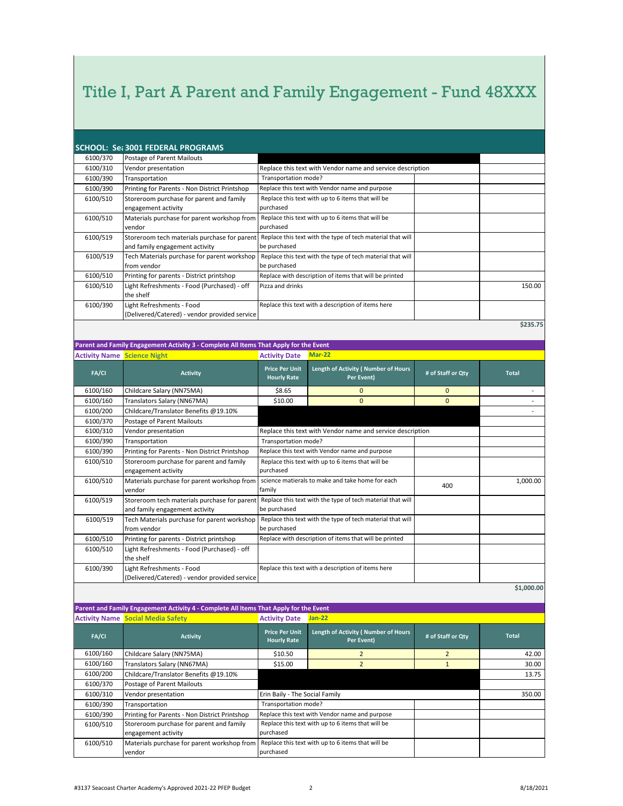|          | <b>SCHOOL: Set 3001 FEDERAL PROGRAMS</b>                                       |                                                                            |          |
|----------|--------------------------------------------------------------------------------|----------------------------------------------------------------------------|----------|
| 6100/370 | Postage of Parent Mailouts                                                     |                                                                            |          |
| 6100/310 | Vendor presentation                                                            | Replace this text with Vendor name and service description                 |          |
| 6100/390 | Transportation                                                                 | Transportation mode?                                                       |          |
| 6100/390 | Printing for Parents - Non District Printshop                                  | Replace this text with Vendor name and purpose                             |          |
| 6100/510 | Storeroom purchase for parent and family<br>engagement activity                | Replace this text with up to 6 items that will be<br>purchased             |          |
| 6100/510 | Materials purchase for parent workshop from<br>vendor                          | Replace this text with up to 6 items that will be<br>purchased             |          |
| 6100/519 | Storeroom tech materials purchase for parent<br>and family engagement activity | Replace this text with the type of tech material that will<br>be purchased |          |
| 6100/519 | Tech Materials purchase for parent workshop<br>from vendor                     | Replace this text with the type of tech material that will<br>be purchased |          |
| 6100/510 | Printing for parents - District printshop                                      | Replace with description of items that will be printed                     |          |
| 6100/510 | Light Refreshments - Food (Purchased) - off<br>the shelf                       | Pizza and drinks                                                           | 150.00   |
| 6100/390 | Light Refreshments - Food<br>(Delivered/Catered) - vendor provided service     | Replace this text with a description of items here                         |          |
|          |                                                                                |                                                                            | \$235.75 |

**Parent and Family Engagement Activity 3 - Complete All Items That Apply for the Event**

| <b>Activity Name Science Night</b> |                                                                                | <b>Activity Date</b>                        | Mar-22                                                     |              |              |
|------------------------------------|--------------------------------------------------------------------------------|---------------------------------------------|------------------------------------------------------------|--------------|--------------|
| FA/CI                              | <b>Activity</b>                                                                | <b>Price Per Unit</b><br><b>Hourly Rate</b> | Length of Activity (Number of Hours<br>Per Event)          |              | <b>Total</b> |
| 6100/160                           | Childcare Salary (NN75MA)                                                      | \$8.65                                      | $\mathbf{0}$                                               | $\mathbf{0}$ |              |
| 6100/160                           | Translators Salary (NN67MA)                                                    | \$10.00                                     | $\overline{0}$                                             | $\Omega$     |              |
| 6100/200                           | Childcare/Translator Benefits @19.10%                                          |                                             |                                                            |              |              |
| 6100/370                           | Postage of Parent Mailouts                                                     |                                             |                                                            |              |              |
| 6100/310                           | Vendor presentation                                                            |                                             | Replace this text with Vendor name and service description |              |              |
| 6100/390                           | Transportation                                                                 | Transportation mode?                        |                                                            |              |              |
| 6100/390                           | Printing for Parents - Non District Printshop                                  |                                             | Replace this text with Vendor name and purpose             |              |              |
| 6100/510                           | Storeroom purchase for parent and family<br>engagement activity                | purchased                                   | Replace this text with up to 6 items that will be          |              |              |
| 6100/510                           | Materials purchase for parent workshop from<br>vendor                          | family                                      | science matierals to make and take home for each           | 400          | 1,000.00     |
| 6100/519                           | Storeroom tech materials purchase for parent<br>and family engagement activity | be purchased                                | Replace this text with the type of tech material that will |              |              |
| 6100/519                           | Tech Materials purchase for parent workshop<br>from vendor                     | be purchased                                | Replace this text with the type of tech material that will |              |              |
| 6100/510                           | Printing for parents - District printshop                                      |                                             | Replace with description of items that will be printed     |              |              |
| 6100/510                           | Light Refreshments - Food (Purchased) - off<br>the shelf                       |                                             |                                                            |              |              |
| 6100/390                           | Light Refreshments - Food<br>(Delivered/Catered) - vendor provided service     |                                             | Replace this text with a description of items here         |              |              |

**\$1,000.00**

**Parent and Family Engagement Activity 4 - Complete All Items That Apply for the Event Activity Name Social Media Safety Activity Date Jan-22**

|          | <b>ACTIVITY MATTLE SOCIAL MIGHTS SETETY</b>                     | <b>ACLIVILY DATE</b>                        | Jan-44                                            |                   |              |  |
|----------|-----------------------------------------------------------------|---------------------------------------------|---------------------------------------------------|-------------------|--------------|--|
| FA/CI    | <b>Activity</b>                                                 | <b>Price Per Unit</b><br><b>Hourly Rate</b> | Length of Activity (Number of Hours<br>Per Event) | # of Staff or Qty | <b>Total</b> |  |
| 6100/160 | Childcare Salary (NN75MA)                                       | \$10.50                                     |                                                   |                   | 42.00        |  |
| 6100/160 | Translators Salary (NN67MA)                                     | \$15.00                                     |                                                   |                   | 30.00        |  |
| 6100/200 | Childcare/Translator Benefits @19.10%                           |                                             |                                                   |                   | 13.75        |  |
| 6100/370 | Postage of Parent Mailouts                                      |                                             |                                                   |                   |              |  |
| 6100/310 | Vendor presentation                                             |                                             | Erin Baily - The Social Family                    |                   |              |  |
| 6100/390 | Transportation                                                  |                                             | Transportation mode?                              |                   |              |  |
| 6100/390 | Printing for Parents - Non District Printshop                   |                                             | Replace this text with Vendor name and purpose    |                   |              |  |
| 6100/510 | Storeroom purchase for parent and family<br>engagement activity | purchased                                   | Replace this text with up to 6 items that will be |                   |              |  |
|          |                                                                 |                                             |                                                   |                   |              |  |
| 6100/510 | Materials purchase for parent workshop from                     |                                             | Replace this text with up to 6 items that will be |                   |              |  |
|          | vendor                                                          | purchased                                   |                                                   |                   |              |  |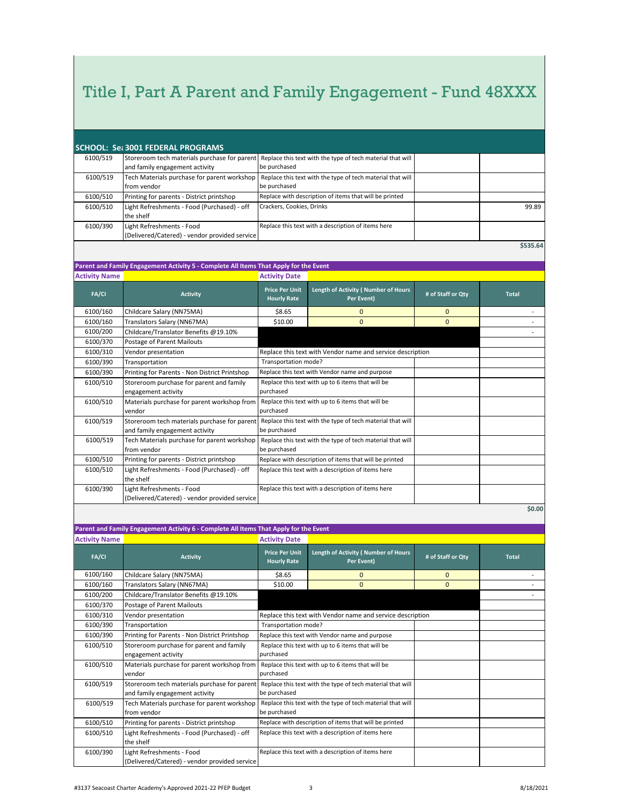| SCHOOL: Set 3001 FEDERAL PROGRAMS |                                |                                                                                                          |  |  |  |  |
|-----------------------------------|--------------------------------|----------------------------------------------------------------------------------------------------------|--|--|--|--|
| 6100/519                          |                                | Storeroom tech materials purchase for parent Replace this text with the type of tech material that will  |  |  |  |  |
|                                   | and family engagement activity | be purchased                                                                                             |  |  |  |  |
| 6100/519                          |                                | Tech Materials purchase for parent workshop   Replace this text with the type of tech material that will |  |  |  |  |

| -------  |                                               |                                                                                                        |       |
|----------|-----------------------------------------------|--------------------------------------------------------------------------------------------------------|-------|
|          | and family engagement activity                | be purchased                                                                                           |       |
| 6100/519 |                                               | Tech Materials purchase for parent workshop Replace this text with the type of tech material that will |       |
|          | from vendor                                   | be purchased                                                                                           |       |
| 6100/510 | Printing for parents - District printshop     | Replace with description of items that will be printed                                                 |       |
| 6100/510 | Light Refreshments - Food (Purchased) - off   | Crackers, Cookies, Drinks                                                                              | 99.89 |
|          | the shelf                                     |                                                                                                        |       |
| 6100/390 | Light Refreshments - Food                     | Replace this text with a description of items here                                                     |       |
|          | (Delivered/Catered) - vendor provided service |                                                                                                        |       |

**\$535.64**

|                      | Parent and Family Engagement Activity 5 - Complete All Items That Apply for the Event |                                             |                                                            |                   |              |
|----------------------|---------------------------------------------------------------------------------------|---------------------------------------------|------------------------------------------------------------|-------------------|--------------|
| <b>Activity Name</b> |                                                                                       | <b>Activity Date</b>                        |                                                            |                   |              |
| <b>FA/CI</b>         | <b>Activity</b>                                                                       | <b>Price Per Unit</b><br><b>Hourly Rate</b> | Length of Activity (Number of Hours<br>Per Event)          | # of Staff or Qty | <b>Total</b> |
| 6100/160             | Childcare Salary (NN75MA)                                                             | \$8.65                                      | $\mathbf{0}$                                               | $\mathbf{0}$      |              |
| 6100/160             | Translators Salary (NN67MA)                                                           | \$10.00                                     | $\Omega$                                                   | $\mathbf{0}$      |              |
| 6100/200             | Childcare/Translator Benefits @19.10%                                                 |                                             |                                                            |                   |              |
| 6100/370             | Postage of Parent Mailouts                                                            |                                             |                                                            |                   |              |
| 6100/310             | Vendor presentation                                                                   |                                             | Replace this text with Vendor name and service description |                   |              |
| 6100/390             | Transportation                                                                        | Transportation mode?                        |                                                            |                   |              |
| 6100/390             | Printing for Parents - Non District Printshop                                         |                                             | Replace this text with Vendor name and purpose             |                   |              |
| 6100/510             | Storeroom purchase for parent and family<br>engagement activity                       | purchased                                   | Replace this text with up to 6 items that will be          |                   |              |
| 6100/510             | Materials purchase for parent workshop from<br>vendor                                 | purchased                                   | Replace this text with up to 6 items that will be          |                   |              |
| 6100/519             | Storeroom tech materials purchase for parent<br>and family engagement activity        | be purchased                                | Replace this text with the type of tech material that will |                   |              |
| 6100/519             | Tech Materials purchase for parent workshop<br>from vendor                            | be purchased                                | Replace this text with the type of tech material that will |                   |              |
| 6100/510             | Printing for parents - District printshop                                             |                                             | Replace with description of items that will be printed     |                   |              |
| 6100/510             | Light Refreshments - Food (Purchased) - off<br>the shelf                              |                                             | Replace this text with a description of items here         |                   |              |
| 6100/390             | Light Refreshments - Food<br>(Delivered/Catered) - vendor provided service            |                                             | Replace this text with a description of items here         |                   |              |

**\$0.00**

|                      | Parent and Family Engagement Activity 6 - Complete All Items That Apply for the Event |                                                |                                                            |                   |              |
|----------------------|---------------------------------------------------------------------------------------|------------------------------------------------|------------------------------------------------------------|-------------------|--------------|
| <b>Activity Name</b> |                                                                                       | <b>Activity Date</b>                           |                                                            |                   |              |
| FA/CI                | <b>Activity</b>                                                                       | <b>Price Per Unit</b><br><b>Hourly Rate</b>    | Length of Activity (Number of Hours<br>Per Event)          | # of Staff or Qty | <b>Total</b> |
| 6100/160             | Childcare Salary (NN75MA)                                                             | \$8.65                                         | $\mathbf{0}$                                               | $\Omega$          |              |
| 6100/160             | Translators Salary (NN67MA)                                                           | \$10.00                                        | $\Omega$                                                   | $\Omega$          |              |
| 6100/200             | Childcare/Translator Benefits @19.10%                                                 |                                                |                                                            |                   |              |
| 6100/370             | Postage of Parent Mailouts                                                            |                                                |                                                            |                   |              |
| 6100/310             | Vendor presentation                                                                   |                                                | Replace this text with Vendor name and service description |                   |              |
| 6100/390             | Transportation                                                                        | Transportation mode?                           |                                                            |                   |              |
| 6100/390             | Printing for Parents - Non District Printshop                                         | Replace this text with Vendor name and purpose |                                                            |                   |              |
| 6100/510             | Storeroom purchase for parent and family<br>engagement activity                       | purchased                                      | Replace this text with up to 6 items that will be          |                   |              |
| 6100/510             | Materials purchase for parent workshop from<br>vendor                                 | purchased                                      | Replace this text with up to 6 items that will be          |                   |              |
| 6100/519             | Storeroom tech materials purchase for parent<br>and family engagement activity        | be purchased                                   | Replace this text with the type of tech material that will |                   |              |
| 6100/519             | Tech Materials purchase for parent workshop<br>from vendor                            | be purchased                                   | Replace this text with the type of tech material that will |                   |              |
| 6100/510             | Printing for parents - District printshop                                             |                                                | Replace with description of items that will be printed     |                   |              |
| 6100/510             | Light Refreshments - Food (Purchased) - off<br>the shelf                              |                                                | Replace this text with a description of items here         |                   |              |
| 6100/390             | Light Refreshments - Food                                                             |                                                | Replace this text with a description of items here         |                   |              |

(Delivered/Catered) - vendor provided service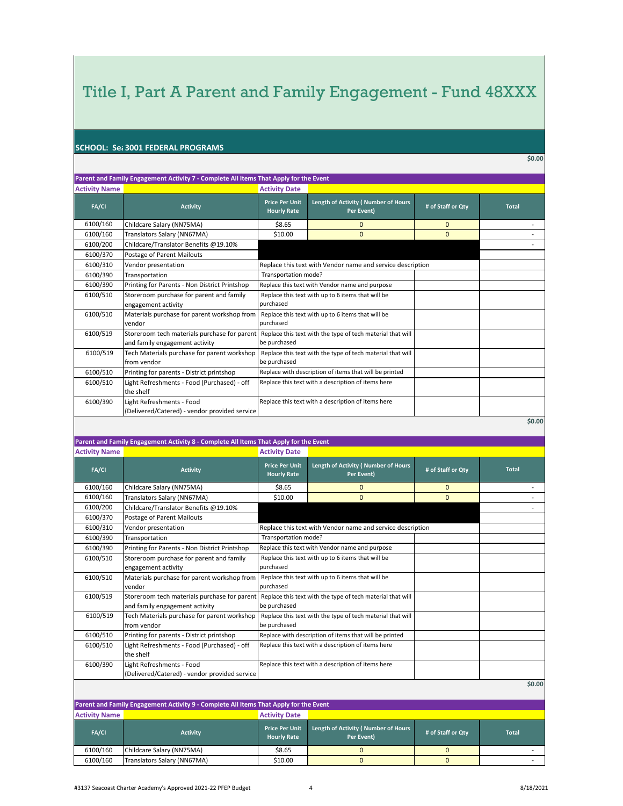#### **SCHOOL: Sea 3001 FEDERAL PROGRAMS**

**\$0.00**

|                      | Parent and Family Engagement Activity 7 - Complete All Items That Apply for the Event |                                             |                                                            |                   |              |
|----------------------|---------------------------------------------------------------------------------------|---------------------------------------------|------------------------------------------------------------|-------------------|--------------|
| <b>Activity Name</b> |                                                                                       | <b>Activity Date</b>                        |                                                            |                   |              |
| FA/CI                | <b>Activity</b>                                                                       | <b>Price Per Unit</b><br><b>Hourly Rate</b> | Length of Activity (Number of Hours<br>Per Event)          | # of Staff or Qty | <b>Total</b> |
| 6100/160             | Childcare Salary (NN75MA)                                                             | \$8.65                                      | $\mathbf{0}$                                               | $\mathbf{0}$      |              |
| 6100/160             | Translators Salary (NN67MA)                                                           | \$10.00                                     | $\Omega$                                                   | $\mathbf{0}$      |              |
| 6100/200             | Childcare/Translator Benefits @19.10%                                                 |                                             |                                                            |                   |              |
| 6100/370             | Postage of Parent Mailouts                                                            |                                             |                                                            |                   |              |
| 6100/310             | Vendor presentation                                                                   |                                             | Replace this text with Vendor name and service description |                   |              |
| 6100/390             | Transportation                                                                        | Transportation mode?                        |                                                            |                   |              |
| 6100/390             | Printing for Parents - Non District Printshop                                         |                                             | Replace this text with Vendor name and purpose             |                   |              |
| 6100/510             | Storeroom purchase for parent and family<br>engagement activity                       | purchased                                   | Replace this text with up to 6 items that will be          |                   |              |
| 6100/510             | Materials purchase for parent workshop from<br>vendor                                 | purchased                                   | Replace this text with up to 6 items that will be          |                   |              |
| 6100/519             | Storeroom tech materials purchase for parent<br>and family engagement activity        | be purchased                                | Replace this text with the type of tech material that will |                   |              |
| 6100/519             | Tech Materials purchase for parent workshop<br>from vendor                            | be purchased                                | Replace this text with the type of tech material that will |                   |              |
| 6100/510             | Printing for parents - District printshop                                             |                                             | Replace with description of items that will be printed     |                   |              |
| 6100/510             | Light Refreshments - Food (Purchased) - off<br>the shelf                              |                                             | Replace this text with a description of items here         |                   |              |
| 6100/390             | Light Refreshments - Food<br>(Delivered/Catered) - vendor provided service            |                                             | Replace this text with a description of items here         |                   |              |
|                      |                                                                                       |                                             |                                                            |                   | \$0.00       |

#### **Parent and Family Engagement Activity 8 - Complete All Items That Apply for the Event Activity Name Activity Date**

| <b>ACTIVITY MATTLE</b> |                                               | Activity Date                               |                                                            |                   |              |  |
|------------------------|-----------------------------------------------|---------------------------------------------|------------------------------------------------------------|-------------------|--------------|--|
| FA/CI                  | <b>Activity</b>                               | <b>Price Per Unit</b><br><b>Hourly Rate</b> | Length of Activity (Number of Hours<br>Per Event)          | # of Staff or Qty | <b>Total</b> |  |
| 6100/160               | Childcare Salary (NN75MA)                     | \$8.65                                      | $\Omega$                                                   | $\mathbf{0}$      |              |  |
| 6100/160               | Translators Salary (NN67MA)                   | \$10.00                                     | $\mathbf{0}$                                               | $\mathbf{0}$      |              |  |
| 6100/200               | Childcare/Translator Benefits @19.10%         |                                             |                                                            |                   |              |  |
| 6100/370               | Postage of Parent Mailouts                    |                                             |                                                            |                   |              |  |
| 6100/310               | Vendor presentation                           |                                             | Replace this text with Vendor name and service description |                   |              |  |
| 6100/390               | Transportation                                | Transportation mode?                        |                                                            |                   |              |  |
| 6100/390               | Printing for Parents - Non District Printshop |                                             | Replace this text with Vendor name and purpose             |                   |              |  |
| 6100/510               | Storeroom purchase for parent and family      |                                             | Replace this text with up to 6 items that will be          |                   |              |  |
|                        | engagement activity                           | purchased                                   |                                                            |                   |              |  |
| 6100/510               | Materials purchase for parent workshop from   |                                             | Replace this text with up to 6 items that will be          |                   |              |  |
|                        | vendor                                        | purchased                                   |                                                            |                   |              |  |
| 6100/519               | Storeroom tech materials purchase for parent  |                                             | Replace this text with the type of tech material that will |                   |              |  |
|                        | and family engagement activity                | be purchased                                |                                                            |                   |              |  |
| 6100/519               | Tech Materials purchase for parent workshop   |                                             | Replace this text with the type of tech material that will |                   |              |  |
|                        | from vendor                                   | be purchased                                |                                                            |                   |              |  |
| 6100/510               | Printing for parents - District printshop     |                                             | Replace with description of items that will be printed     |                   |              |  |
| 6100/510               | Light Refreshments - Food (Purchased) - off   |                                             | Replace this text with a description of items here         |                   |              |  |
|                        | the shelf                                     |                                             |                                                            |                   |              |  |
| 6100/390               | Light Refreshments - Food                     |                                             | Replace this text with a description of items here         |                   |              |  |
|                        | (Delivered/Catered) - vendor provided service |                                             |                                                            |                   |              |  |

|  |  | 0.00 |  |
|--|--|------|--|
|  |  |      |  |

| Parent and Family Engagement Activity 9 - Complete All Items That Apply for the Event |                             |                                             |                                                                        |  |              |  |  |  |
|---------------------------------------------------------------------------------------|-----------------------------|---------------------------------------------|------------------------------------------------------------------------|--|--------------|--|--|--|
| <b>Activity Name</b>                                                                  |                             | <b>Activity Date</b>                        |                                                                        |  |              |  |  |  |
| <b>FA/CI</b>                                                                          | <b>Activity</b>             | <b>Price Per Unit</b><br><b>Hourly Rate</b> | Length of Activity (Number of Hours<br># of Staff or Qtv<br>Per Event) |  | <b>Total</b> |  |  |  |
| 6100/160                                                                              | Childcare Salary (NN75MA)   | \$8.65                                      |                                                                        |  |              |  |  |  |
| 6100/160                                                                              | Translators Salary (NN67MA) | \$10.00                                     |                                                                        |  |              |  |  |  |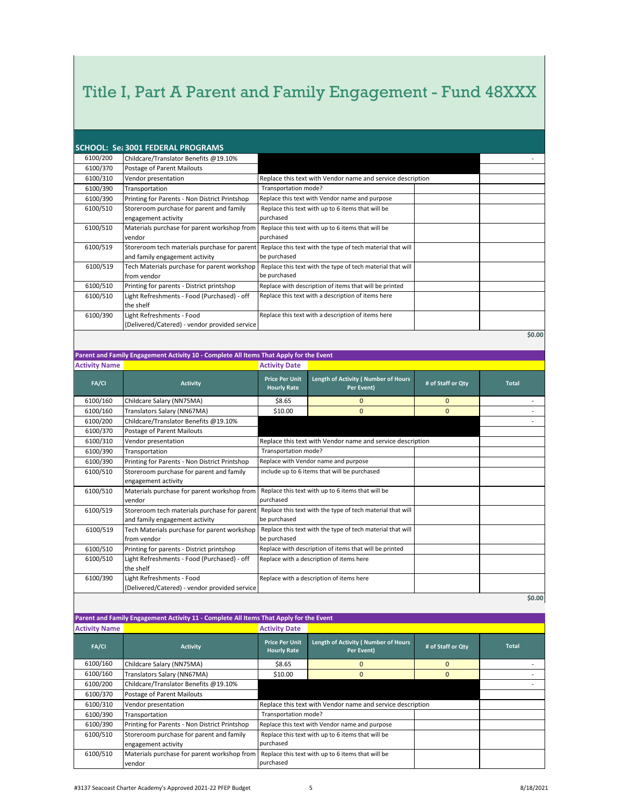| <b>SCHOOL: Set 3001 FEDERAL PROGRAMS</b> |                                               |                                                            |  |      |  |  |
|------------------------------------------|-----------------------------------------------|------------------------------------------------------------|--|------|--|--|
| 6100/200                                 | Childcare/Translator Benefits @19.10%         |                                                            |  |      |  |  |
| 6100/370                                 | Postage of Parent Mailouts                    |                                                            |  |      |  |  |
| 6100/310                                 | Vendor presentation                           | Replace this text with Vendor name and service description |  |      |  |  |
| 6100/390                                 | Transportation                                | Transportation mode?                                       |  |      |  |  |
| 6100/390                                 | Printing for Parents - Non District Printshop | Replace this text with Vendor name and purpose             |  |      |  |  |
| 6100/510                                 | Storeroom purchase for parent and family      | Replace this text with up to 6 items that will be          |  |      |  |  |
|                                          | engagement activity                           | purchased                                                  |  |      |  |  |
| 6100/510                                 | Materials purchase for parent workshop from   | Replace this text with up to 6 items that will be          |  |      |  |  |
|                                          | vendor                                        | purchased                                                  |  |      |  |  |
| 6100/519                                 | Storeroom tech materials purchase for parent  | Replace this text with the type of tech material that will |  |      |  |  |
|                                          | and family engagement activity                | be purchased                                               |  |      |  |  |
| 6100/519                                 | Tech Materials purchase for parent workshop   | Replace this text with the type of tech material that will |  |      |  |  |
|                                          | from vendor                                   | be purchased                                               |  |      |  |  |
| 6100/510                                 | Printing for parents - District printshop     | Replace with description of items that will be printed     |  |      |  |  |
| 6100/510                                 | Light Refreshments - Food (Purchased) - off   | Replace this text with a description of items here         |  |      |  |  |
|                                          | the shelf                                     |                                                            |  |      |  |  |
| 6100/390                                 | Light Refreshments - Food                     | Replace this text with a description of items here         |  |      |  |  |
|                                          | (Delivered/Catered) - vendor provided service |                                                            |  |      |  |  |
|                                          |                                               |                                                            |  | 0.00 |  |  |

**\$0.00**

### **Parent and Family Engagement Activity 10 - Complete All Items That Apply for the Event**

| <b>Activity Name</b> |                                               | <b>Activity Date</b>                                       |                                                            |                   |              |
|----------------------|-----------------------------------------------|------------------------------------------------------------|------------------------------------------------------------|-------------------|--------------|
| <b>FA/CI</b>         | <b>Activity</b>                               | <b>Price Per Unit</b><br><b>Hourly Rate</b>                | Length of Activity (Number of Hours<br>Per Event)          | # of Staff or Qty | <b>Total</b> |
| 6100/160             | Childcare Salary (NN75MA)                     | \$8.65                                                     | $\Omega$                                                   | $\Omega$          |              |
| 6100/160             | Translators Salary (NN67MA)                   | \$10.00                                                    | $\overline{0}$                                             | $\mathbf{0}$      |              |
| 6100/200             | Childcare/Translator Benefits @19.10%         |                                                            |                                                            |                   |              |
| 6100/370             | Postage of Parent Mailouts                    |                                                            |                                                            |                   |              |
| 6100/310             | Vendor presentation                           |                                                            | Replace this text with Vendor name and service description |                   |              |
| 6100/390             | Transportation                                | Transportation mode?                                       |                                                            |                   |              |
| 6100/390             | Printing for Parents - Non District Printshop |                                                            | Replace with Vendor name and purpose                       |                   |              |
| 6100/510             | Storeroom purchase for parent and family      | include up to 6 items that will be purchased               |                                                            |                   |              |
|                      | engagement activity                           |                                                            |                                                            |                   |              |
| 6100/510             | Materials purchase for parent workshop from   |                                                            | Replace this text with up to 6 items that will be          |                   |              |
|                      | vendor                                        | purchased                                                  |                                                            |                   |              |
| 6100/519             | Storeroom tech materials purchase for parent  | Replace this text with the type of tech material that will |                                                            |                   |              |
|                      | and family engagement activity                | be purchased                                               |                                                            |                   |              |
| 6100/519             | Tech Materials purchase for parent workshop   |                                                            | Replace this text with the type of tech material that will |                   |              |
|                      | from vendor                                   | be purchased                                               |                                                            |                   |              |
| 6100/510             | Printing for parents - District printshop     |                                                            | Replace with description of items that will be printed     |                   |              |
| 6100/510             | Light Refreshments - Food (Purchased) - off   |                                                            | Replace with a description of items here                   |                   |              |
|                      | the shelf                                     |                                                            |                                                            |                   |              |
| 6100/390             | Light Refreshments - Food                     |                                                            | Replace with a description of items here                   |                   |              |
|                      | (Delivered/Catered) - vendor provided service |                                                            |                                                            |                   |              |
|                      |                                               |                                                            |                                                            |                   |              |

**\$0.00**

### **Parent and Family Engagement Activity 11 - Complete All Items That Apply for the Event**

| <b>Activity Name</b> |                                                                 | <b>Activity Date</b>                                       |                                                   |                   |              |
|----------------------|-----------------------------------------------------------------|------------------------------------------------------------|---------------------------------------------------|-------------------|--------------|
| FA/CI                | <b>Activity</b>                                                 | <b>Price Per Unit</b><br><b>Hourly Rate</b>                | Length of Activity (Number of Hours<br>Per Event) | # of Staff or Qty | <b>Total</b> |
| 6100/160             | Childcare Salary (NN75MA)                                       | \$8.65                                                     | $\Omega$                                          | $\Omega$          |              |
| 6100/160             | Translators Salary (NN67MA)                                     | \$10.00                                                    | $\Omega$                                          | $\Omega$          |              |
| 6100/200             | Childcare/Translator Benefits @19.10%                           |                                                            |                                                   |                   |              |
| 6100/370             | Postage of Parent Mailouts                                      |                                                            |                                                   |                   |              |
| 6100/310             | Vendor presentation                                             | Replace this text with Vendor name and service description |                                                   |                   |              |
| 6100/390             | Transportation                                                  | Transportation mode?                                       |                                                   |                   |              |
| 6100/390             | Printing for Parents - Non District Printshop                   | Replace this text with Vendor name and purpose             |                                                   |                   |              |
| 6100/510             | Storeroom purchase for parent and family<br>engagement activity | purchased                                                  | Replace this text with up to 6 items that will be |                   |              |
| 6100/510             | Materials purchase for parent workshop from<br>vendor           | purchased                                                  | Replace this text with up to 6 items that will be |                   |              |